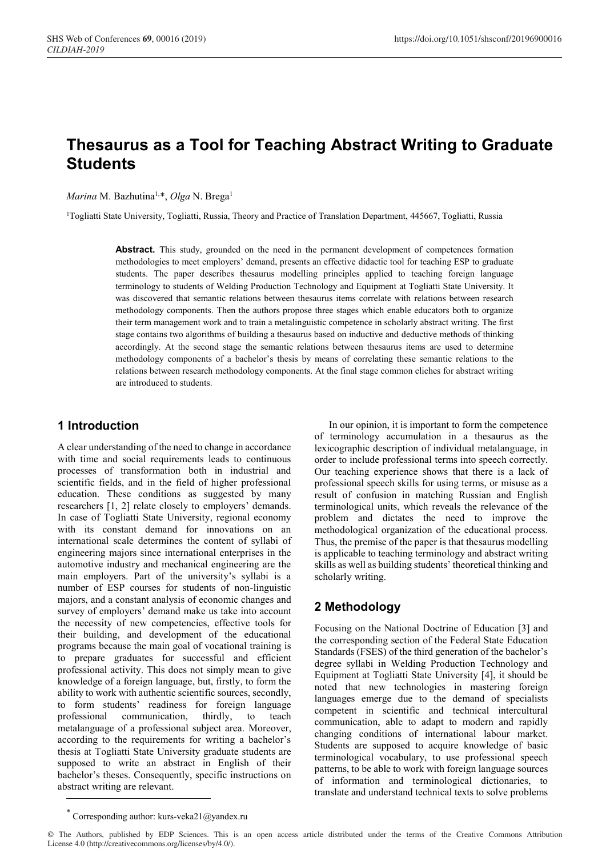# **Thesaurus as a Tool for Teaching Abstract Writing to Graduate Students**

*Marina* M. Bazhutina1, \*, *Olga* N. Brega1

1Togliatti State University, Togliatti, Russia, Theory and Practice of Translation Department, 445667, Togliatti, Russia

Abstract. This study, grounded on the need in the permanent development of competences formation methodologies to meet employers' demand, presents an effective didactic tool for teaching ESP to graduate students. The paper describes thesaurus modelling principles applied to teaching foreign language terminology to students of Welding Production Technology and Equipment at Togliatti State University. It was discovered that semantic relations between thesaurus items correlate with relations between research methodology components. Then the authors propose three stages which enable educators both to organize their term management work and to train a metalinguistic competence in scholarly abstract writing. The first stage contains two algorithms of building a thesaurus based on inductive and deductive methods of thinking accordingly. At the second stage the semantic relations between thesaurus items are used to determine methodology components of a bachelor's thesis by means of correlating these semantic relations to the relations between research methodology components. At the final stage common cliches for abstract writing are introduced to students.

# **1 Introduction**

A clear understanding of the need to change in accordance with time and social requirements leads to continuous processes of transformation both in industrial and scientific fields, and in the field of higher professional education. These conditions as suggested by many researchers [1, 2] relate closely to employers' demands. In case of Togliatti State University, regional economy with its constant demand for innovations on an international scale determines the content of syllabi of engineering majors since international enterprises in the automotive industry and mechanical engineering are the main employers. Part of the university's syllabi is a number of ESP courses for students of non-linguistic majors, and a constant analysis of economic changes and survey of employers' demand make us take into account the necessity of new competencies, effective tools for their building, and development of the educational programs because the main goal of vocational training is to prepare graduates for successful and efficient professional activity. This does not simply mean to give knowledge of a foreign language, but, firstly, to form the ability to work with authentic scientific sources, secondly, to form students' readiness for foreign language professional communication, thirdly, to teach metalanguage of a professional subject area. Moreover, according to the requirements for writing a bachelor's thesis at Togliatti State University graduate students are supposed to write an abstract in English of their bachelor's theses. Consequently, specific instructions on abstract writing are relevant.

In our opinion, it is important to form the competence of terminology accumulation in a thesaurus as the lexicographic description of individual metalanguage, in order to include professional terms into speech correctly. Our teaching experience shows that there is a lack of professional speech skills for using terms, or misuse as a result of confusion in matching Russian and English terminological units, which reveals the relevance of the problem and dictates the need to improve the methodological organization of the educational process. Thus, the premise of the paper is that thesaurus modelling is applicable to teaching terminology and abstract writing skills as well as building students' theoretical thinking and scholarly writing.

# **2 Methodology**

Focusing on the National Doctrine of Education [3] and the corresponding section of the Federal State Education Standards (FSES) of the third generation of the bachelor's degree syllabi in Welding Production Technology and Equipment at Togliatti State University [4], it should be noted that new technologies in mastering foreign languages emerge due to the demand of specialists competent in scientific and technical intercultural communication, able to adapt to modern and rapidly changing conditions of international labour market. Students are supposed to acquire knowledge of basic terminological vocabulary, to use professional speech patterns, to be able to work with foreign language sources of information and terminological dictionaries, to translate and understand technical texts to solve problems

<sup>\*</sup> Corresponding author: kurs-veka21@yandex.ru

<sup>©</sup> The Authors, published by EDP Sciences. This is an open access article distributed under the terms of the Creative Commons Attribution License 4.0 (http://creativecommons.org/licenses/by/4.0/).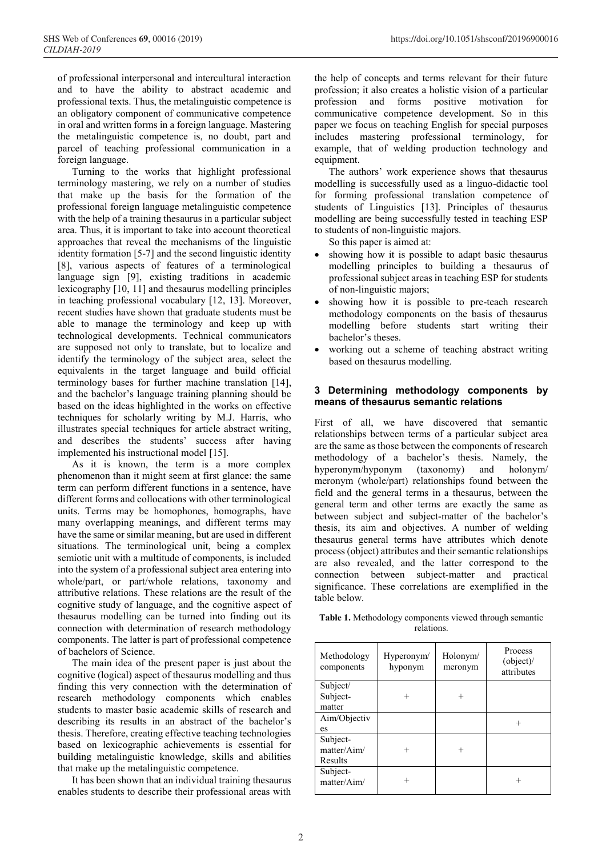of professional interpersonal and intercultural interaction and to have the ability to abstract academic and professional texts. Thus, the metalinguistic competence is an obligatory component of communicative competence in oral and written forms in a foreign language. Mastering the metalinguistic competence is, no doubt, part and parcel of teaching professional communication in a foreign language.

Turning to the works that highlight professional terminology mastering, we rely on a number of studies that make up the basis for the formation of the professional foreign language metalinguistic competence with the help of a training thesaurus in a particular subject area. Thus, it is important to take into account theoretical approaches that reveal the mechanisms of the linguistic identity formation [5-7] and the second linguistic identity [8], various aspects of features of a terminological language sign [9], existing traditions in academic lexicography [10, 11] and thesaurus modelling principles in teaching professional vocabulary [12, 13]. Moreover, recent studies have shown that graduate students must be able to manage the terminology and keep up with technological developments. Technical communicators are supposed not only to translate, but to localize and identify the terminology of the subject area, select the equivalents in the target language and build official terminology bases for further machine translation [14], and the bachelor's language training planning should be based on the ideas highlighted in the works on effective techniques for scholarly writing by M.J. Harris, who illustrates special techniques for article abstract writing, and describes the students' success after having implemented his instructional model [15].

As it is known, the term is a more complex phenomenon than it might seem at first glance: the same term can perform different functions in a sentence, have different forms and collocations with other terminological units. Terms may be homophones, homographs, have many overlapping meanings, and different terms may have the same or similar meaning, but are used in different situations. The terminological unit, being a complex semiotic unit with a multitude of components, is included into the system of a professional subject area entering into whole/part, or part/whole relations, taxonomy and attributive relations. These relations are the result of the cognitive study of language, and the cognitive aspect of thesaurus modelling can be turned into finding out its connection with determination of research methodology components. The latter is part of professional competence of bachelors of Science.

The main idea of the present paper is just about the cognitive (logical) aspect of thesaurus modelling and thus finding this very connection with the determination of research methodology components which enables students to master basic academic skills of research and describing its results in an abstract of the bachelor's thesis. Therefore, creating effective teaching technologies based on lexicographic achievements is essential for building metalinguistic knowledge, skills and abilities that make up the metalinguistic competence.

It has been shown that an individual training thesaurus enables students to describe their professional areas with

the help of concepts and terms relevant for their future profession; it also creates a holistic vision of a particular profession and forms positive motivation for communicative competence development. So in this paper we focus on teaching English for special purposes includes mastering professional terminology, for example, that of welding production technology and equipment.

The authors' work experience shows that thesaurus modelling is successfully used as a linguo-didactic tool for forming professional translation competence of students of Linguistics [13]. Principles of thesaurus modelling are being successfully tested in teaching ESP to students of non-linguistic majors.

So this paper is aimed at:

- showing how it is possible to adapt basic thesaurus modelling principles to building a thesaurus of professional subject areas in teaching ESP for students of non-linguistic majors;
- showing how it is possible to pre-teach research methodology components on the basis of thesaurus modelling before students start writing their bachelor's theses.
- working out a scheme of teaching abstract writing based on thesaurus modelling.

#### **3 Determining methodology components by means of thesaurus semantic relations**

First of all, we have discovered that semantic relationships between terms of a particular subject area are the same as those between the components of research methodology of a bachelor's thesis. Namely, the hyperonym/hyponym (taxonomy) and holonym/ meronym (whole/part) relationships found between the field and the general terms in a thesaurus, between the general term and other terms are exactly the same as between subject and subject-matter of the bachelor's thesis, its aim and objectives. A number of welding thesaurus general terms have attributes which denote process (object) attributes and their semantic relationships are also revealed, and the latter correspond to the connection between subject-matter and practical significance. These correlations are exemplified in the table below.

**Table 1.** Methodology components viewed through semantic relations.

| Methodology<br>components          | Hyperonym/<br>hyponym | Holonym/<br>meronym | Process<br>(object)<br>attributes |
|------------------------------------|-----------------------|---------------------|-----------------------------------|
| Subject/<br>Subject-<br>matter     |                       |                     |                                   |
| Aim/Objectiv<br>es                 |                       |                     |                                   |
| Subject-<br>matter/Aim/<br>Results | ┿                     |                     |                                   |
| Subject-<br>matter/Aim/            | $^+$                  |                     |                                   |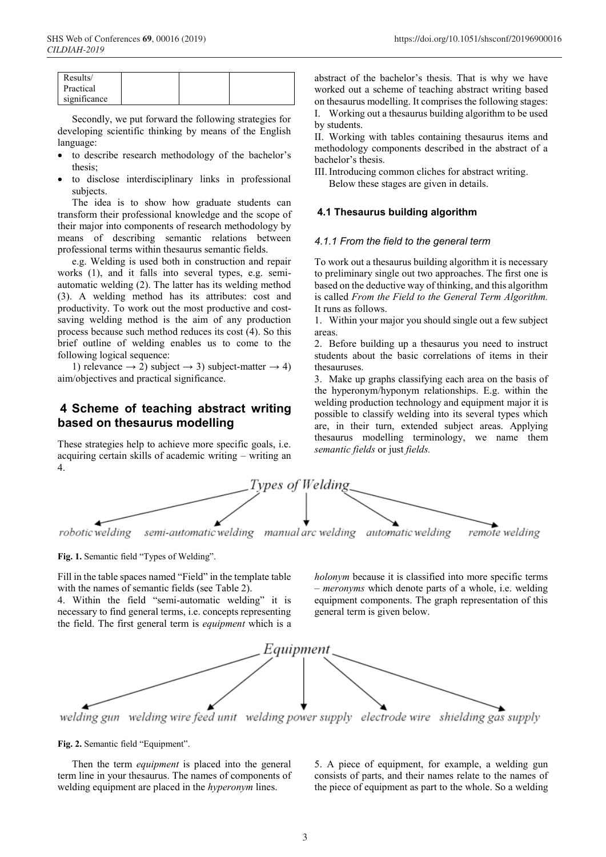| Results/     |  |  |
|--------------|--|--|
| Practical    |  |  |
| significance |  |  |

Secondly, we put forward the following strategies for developing scientific thinking by means of the English language:

- to describe research methodology of the bachelor's thesis;
- to disclose interdisciplinary links in professional subjects.

The idea is to show how graduate students can transform their professional knowledge and the scope of their major into components of research methodology by means of describing semantic relations between professional terms within thesaurus semantic fields.

e.g. Welding is used both in construction and repair works (1), and it falls into several types, e.g. semiautomatic welding (2). The latter has its welding method (3). A welding method has its attributes: cost and productivity. To work out the most productive and costsaving welding method is the aim of any production process because such method reduces its cost (4). So this brief outline of welding enables us to come to the following logical sequence:

1) relevance  $\rightarrow$  2) subject  $\rightarrow$  3) subject-matter  $\rightarrow$  4) aim/objectives and practical significance.

# **4 Scheme of teaching abstract writing based on thesaurus modelling**

These strategies help to achieve more specific goals, i.e. acquiring certain skills of academic writing – writing an 4.

abstract of the bachelor's thesis. That is why we have worked out a scheme of teaching abstract writing based on thesaurus modelling. It comprises the following stages:

I. Working out a thesaurus building algorithm to be used by students.

II. Working with tables containing thesaurus items and methodology components described in the abstract of a bachelor's thesis.

III.Introducing common cliches for abstract writing.

Below these stages are given in details.

#### **4.1 Thesaurus building algorithm**

#### *4.1.1 From the field to the general term*

To work out a thesaurus building algorithm it is necessary to preliminary single out two approaches. The first one is based on the deductive way of thinking, and this algorithm is called *From the Field to the General Term Algorithm.*  It runs as follows.

1. Within your major you should single out a few subject areas.

2. Before building up a thesaurus you need to instruct students about the basic correlations of items in their thesauruses.

3. Make up graphs classifying each area on the basis of the hyperonym/hyponym relationships. E.g. within the welding production technology and equipment major it is possible to classify welding into its several types which are, in their turn, extended subject areas. Applying thesaurus modelling terminology, we name them *semantic fields* or just *fields.*



**Fig. 1.** Semantic field "Types of Welding".

Fill in the table spaces named "Field" in the template table with the names of semantic fields (see Table 2).

4. Within the field "semi-automatic welding" it is necessary to find general terms, i.e. concepts representing the field. The first general term is *equipment* which is a *holonym* because it is classified into more specific terms – *meronyms* which denote parts of a whole, i.e. welding equipment components. The graph representation of this general term is given below.



welding gun welding wire feed unit welding power supply electrode wire shielding gas supply

**Fig. 2.** Semantic field "Equipment".

Then the term *equipment* is placed into the general term line in your thesaurus. The names of components of welding equipment are placed in the *hyperonym* lines.

5. A piece of equipment, for example, a welding gun consists of parts, and their names relate to the names of the piece of equipment as part to the whole. So a welding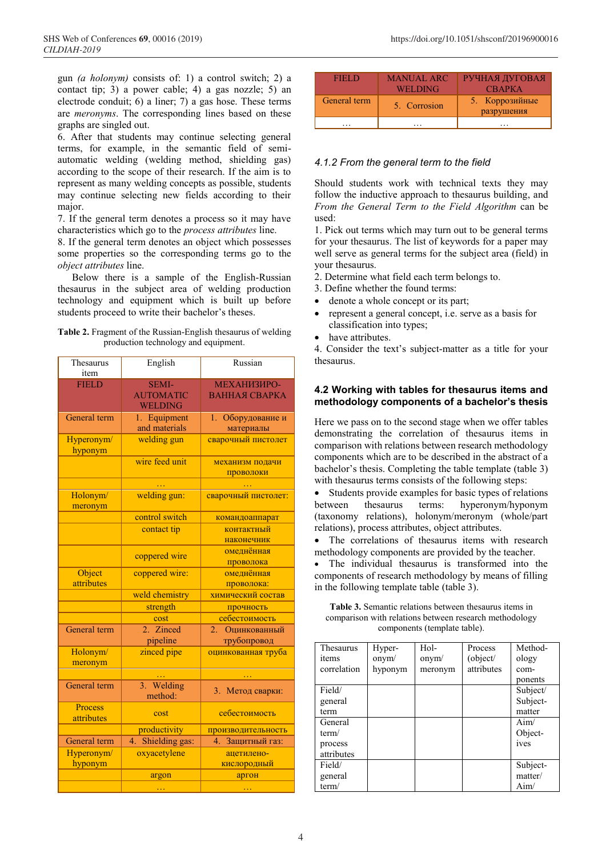gun *(a holonym)* consists of: 1) a control switch; 2) a contact tip; 3) a power cable; 4) a gas nozzle; 5) an electrode conduit; 6) a liner; 7) a gas hose. These terms are *meronyms*. The corresponding lines based on these graphs are singled out.

6. After that students may continue selecting general terms, for example, in the semantic field of semiautomatic welding (welding method, shielding gas) according to the scope of their research. If the aim is to represent as many welding concepts as possible, students may continue selecting new fields according to their major.

7. If the general term denotes a process so it may have characteristics which go to the *process attributes* line.

8. If the general term denotes an object which possesses some properties so the corresponding terms go to the *object attributes* line.

Below there is a sample of the English-Russian thesaurus in the subject area of welding production technology and equipment which is built up before students proceed to write their bachelor's theses.

**Table 2.** Fragment of the Russian-English thesaurus of welding production technology and equipment.

| Thesaurus<br>item            | English                            | Russian                           |
|------------------------------|------------------------------------|-----------------------------------|
| <b>FIELD</b>                 | SEMI-                              | <b>МЕХАНИЗИРО-</b>                |
|                              | <b>AUTOMATIC</b><br><b>WELDING</b> | ВАННАЯ СВАРКА                     |
| General term                 | 1. Equipment                       | 1. Оборудование и                 |
|                              | and materials                      | материалы                         |
| Hyperonym/<br>hyponym        | welding gun                        | сварочный пистолет                |
|                              | wire feed unit                     | механизм подачи<br>проволоки      |
|                              |                                    |                                   |
| Holonym/<br>meronym          | welding gun:                       | сварочный пистолет:               |
|                              | control switch                     | командоаппарат                    |
|                              | contact tip                        | контактный                        |
|                              |                                    | наконечник                        |
|                              | coppered wire                      | омеднённая<br>проволока           |
| Object<br>attributes         | coppered wire:                     | омеднённая<br>проволока:          |
|                              | weld chemistry                     | химический состав                 |
|                              | strength                           | прочность                         |
|                              | cost                               | себестоимость                     |
| General term                 | Zinced<br>pipeline                 | Оцинкованный<br>2.<br>трубопровод |
| Holonym/<br>meronym          | zinced pipe                        | оцинкованная труба                |
|                              |                                    |                                   |
| General term                 | 3. Welding<br>method:              | 3. Метод сварки:                  |
| <b>Process</b><br>attributes | cost                               | себестоимость                     |
|                              | productivity                       | производительность                |
| General term                 | Shielding gas:<br>4 <sub>1</sub>   | Защитный газ:<br>4.               |
| Hyperonym/                   | oxyacetylene                       | ацетилено-                        |
| hyponym                      |                                    | кислородный                       |
|                              | argon                              | аргон                             |
|                              |                                    |                                   |

| <b>FIELD</b> | <b>MANUAL ARC</b><br><b>WELDING</b> | РУЧНАЯ ДУГОВАЯ<br><b>CBAPKA</b> |
|--------------|-------------------------------------|---------------------------------|
| General term | 5. Corrosion                        | 5. Коррозийные<br>разрушения    |
| .            | .                                   |                                 |

#### *4.1.2 From the general term to the field*

Should students work with technical texts they may follow the inductive approach to thesaurus building, and *From the General Term to the Field Algorithm* can be used:

1. Pick out terms which may turn out to be general terms for your thesaurus. The list of keywords for a paper may well serve as general terms for the subject area (field) in your thesaurus.

- 2. Determine what field each term belongs to.
- 3. Define whether the found terms:
- denote a whole concept or its part;
- represent a general concept, i.e. serve as a basis for classification into types;
- have attributes.
- 4. Consider the text's subject-matter as a title for your thesaurus.

#### **4.2 Working with tables for thesaurus items and methodology components of a bachelor's thesis**

Here we pass on to the second stage when we offer tables demonstrating the correlation of thesaurus items in comparison with relations between research methodology components which are to be described in the abstract of a bachelor's thesis. Completing the table template (table 3) with thesaurus terms consists of the following steps:

• Students provide examples for basic types of relations between thesaurus terms: hyperonym/hyponym (taxonomy relations), holonym/meronym (whole/part relations), process attributes, object attributes.

 The correlations of thesaurus items with research methodology components are provided by the teacher.

 The individual thesaurus is transformed into the components of research methodology by means of filling in the following template table (table 3).

**Table 3.** Semantic relations between thesaurus items in comparison with relations between research methodology components (template table).

| Thesaurus<br>items<br>correlation | Hyper-<br>onym/<br>hyponym | Hol-<br>onym/<br>meronym | Process<br>(object/<br>attributes | Method-<br>ology<br>com- |
|-----------------------------------|----------------------------|--------------------------|-----------------------------------|--------------------------|
|                                   |                            |                          |                                   | ponents                  |
| Field/                            |                            |                          |                                   | Subject/                 |
| general                           |                            |                          |                                   | Subject-                 |
| term                              |                            |                          |                                   | matter                   |
| General                           |                            |                          |                                   | Aim/                     |
| term/                             |                            |                          |                                   | Object-                  |
| process                           |                            |                          |                                   | ives                     |
| attributes                        |                            |                          |                                   |                          |
| Field/                            |                            |                          |                                   | Subject-                 |
| general                           |                            |                          |                                   | matter/                  |
| term/                             |                            |                          |                                   | Aim/                     |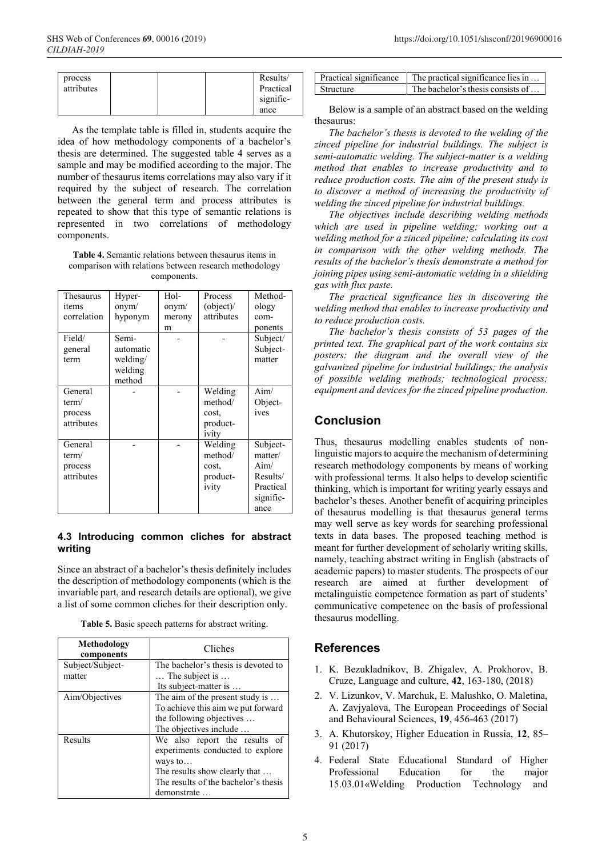| https://doi.org/10.1051/shsconf/20196900016 |  |
|---------------------------------------------|--|
|                                             |  |

| process    |  | Results/  |
|------------|--|-----------|
| attributes |  | Practical |
|            |  | signific- |
|            |  | ance      |

As the template table is filled in, students acquire the idea of how methodology components of a bachelor's thesis are determined. The suggested table 4 serves as a sample and may be modified according to the major. The number of thesaurus items correlations may also vary if it required by the subject of research. The correlation between the general term and process attributes is repeated to show that this type of semantic relations is represented in two correlations of methodology components.

**Table 4.** Semantic relations between thesaurus items in comparison with relations between research methodology components.

| Thesaurus   | Hyper-    | Hol-   | Process    | Method-   |
|-------------|-----------|--------|------------|-----------|
| items       | onym/     | onym/  | (object)/  | ology     |
| correlation | hyponym   | merony | attributes | com-      |
|             |           | m      |            | ponents   |
| Field/      | Semi-     |        |            | Subject/  |
| general     | automatic |        |            | Subject-  |
| term        | welding/  |        |            | matter    |
|             | welding   |        |            |           |
|             | method    |        |            |           |
| General     |           |        | Welding    | Aim/      |
| term/       |           |        | method/    | Object-   |
| process     |           |        | cost.      | ives      |
| attributes  |           |        | product-   |           |
|             |           |        | ivity      |           |
| General     |           |        | Welding    | Subject-  |
| term/       |           |        | method/    | matter/   |
| process     |           |        | cost,      | Aim/      |
| attributes  |           |        | product-   | Results/  |
|             |           |        | ivity      | Practical |
|             |           |        |            | signific- |
|             |           |        |            | ance      |

#### **4.3 Introducing common cliches for abstract writing**

Since an abstract of a bachelor's thesis definitely includes the description of methodology components (which is the invariable part, and research details are optional), we give a list of some common cliches for their description only.

| Table 5. Basic speech patterns for abstract writing. |  |  |  |
|------------------------------------------------------|--|--|--|
|------------------------------------------------------|--|--|--|

| Methodology<br>components | Cliches                              |  |
|---------------------------|--------------------------------------|--|
| Subject/Subject-          | The bachelor's thesis is devoted to  |  |
| matter                    | $\ldots$ The subject is $\ldots$     |  |
|                           | Its subject-matter is                |  |
| Aim/Objectives            | The aim of the present study is      |  |
|                           | To achieve this aim we put forward   |  |
|                           | the following objectives             |  |
|                           | The objectives include               |  |
| Results                   | We also report the results of        |  |
|                           | experiments conducted to explore     |  |
|                           | ways to                              |  |
|                           | The results show clearly that        |  |
|                           | The results of the bachelor's thesis |  |
|                           | demonstrate                          |  |

| Practical significance | The practical significance lies in |
|------------------------|------------------------------------|
| l Structure            | The bachelor's thesis consists of  |

Below is a sample of an abstract based on the welding thesaurus:

*The bachelor's thesis is devoted to the welding of the zinced pipeline for industrial buildings. The subject is semi-automatic welding. The subject-matter is a welding method that enables to increase productivity and to reduce production costs. The aim of the present study is to discover a method of increasing the productivity of welding the zinced pipeline for industrial buildings.* 

*The objectives include describing welding methods which are used in pipeline welding; working out a welding method for a zinced pipeline; calculating its cost in comparison with the other welding methods. The results of the bachelor's thesis demonstrate a method for joining pipes using semi-automatic welding in a shielding gas with flux paste.*

*The practical significance lies in discovering the welding method that enables to increase productivity and to reduce production costs.*

*The bachelor's thesis consists of 53 pages of the printed text. The graphical part of the work contains six posters: the diagram and the overall view of the galvanized pipeline for industrial buildings; the analysis of possible welding methods; technological process; equipment and devices for the zinced pipeline production.*

## **Conclusion**

Thus, thesaurus modelling enables students of nonlinguistic majors to acquire the mechanism of determining research methodology components by means of working with professional terms. It also helps to develop scientific thinking, which is important for writing yearly essays and bachelor's theses. Another benefit of acquiring principles of thesaurus modelling is that thesaurus general terms may well serve as key words for searching professional texts in data bases. The proposed teaching method is meant for further development of scholarly writing skills, namely, teaching abstract writing in English (abstracts of academic papers) to master students. The prospects of our research are aimed at further development of metalinguistic competence formation as part of students' communicative competence on the basis of professional thesaurus modelling.

## **References**

- 1. K. Bezukladnikov, B. Zhigalev, A. Prokhorov, B. Cruze, Language and culture, **42**, 163-180, (2018)
- 2. V. Lizunkov, V. Marchuk, E. Malushko, O. Maletina, A. Zavjyalova, The European Proceedings of Social and Behavioural Sciences, **19**, 456-463 (2017)
- 3. A. Khutorskoy, Higher Education in Russia, **12**, 85– 91 (2017)
- 4. Federal State Educational Standard of Higher Professional Education for the major 15.03.01«Welding Production Technology and